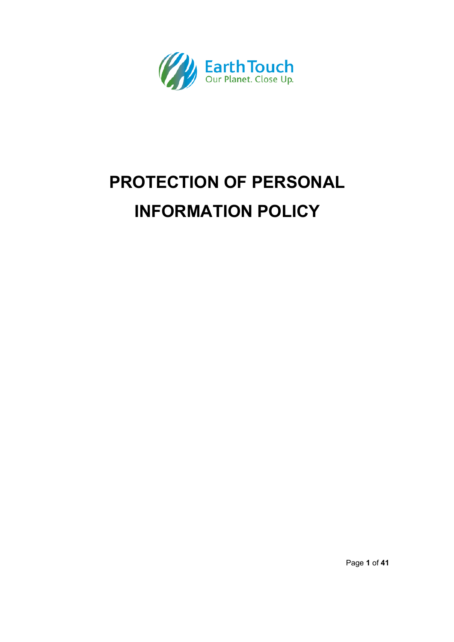

# **PROTECTION OF PERSONAL INFORMATION POLICY**

Page **1** of **41**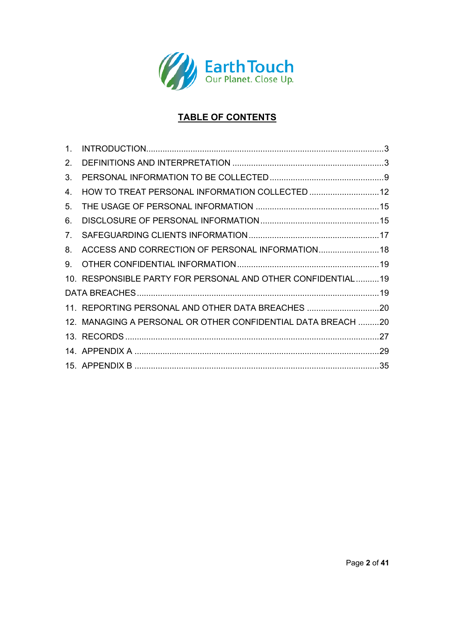

# **TABLE OF CONTENTS**

| $1_{-}$ |                                                              |  |
|---------|--------------------------------------------------------------|--|
| 2.      |                                                              |  |
| 3.      |                                                              |  |
| 4.      | HOW TO TREAT PERSONAL INFORMATION COLLECTED  12              |  |
| 5.      |                                                              |  |
| 6.      |                                                              |  |
| 7.      |                                                              |  |
| 8.      | ACCESS AND CORRECTION OF PERSONAL INFORMATION 18             |  |
| 9.      |                                                              |  |
|         | 10. RESPONSIBLE PARTY FOR PERSONAL AND OTHER CONFIDENTIAL19  |  |
|         |                                                              |  |
|         | 11. REPORTING PERSONAL AND OTHER DATA BREACHES 20            |  |
|         | 12. MANAGING A PERSONAL OR OTHER CONFIDENTIAL DATA BREACH 20 |  |
|         |                                                              |  |
|         |                                                              |  |
|         |                                                              |  |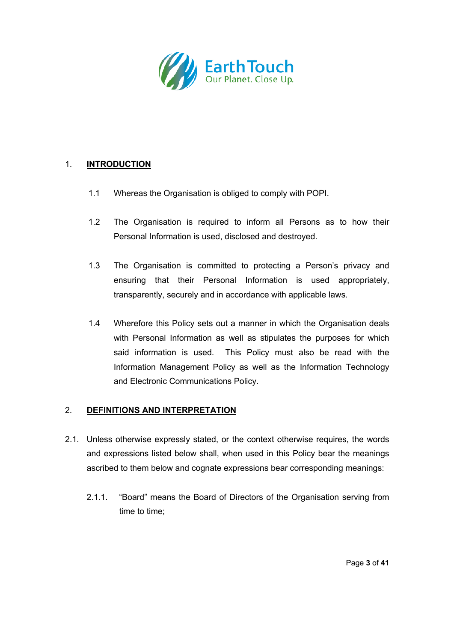

# 1. **INTRODUCTION**

- 1.1 Whereas the Organisation is obliged to comply with POPI.
- 1.2 The Organisation is required to inform all Persons as to how their Personal Information is used, disclosed and destroyed.
- 1.3 The Organisation is committed to protecting a Person's privacy and ensuring that their Personal Information is used appropriately, transparently, securely and in accordance with applicable laws.
- 1.4 Wherefore this Policy sets out a manner in which the Organisation deals with Personal Information as well as stipulates the purposes for which said information is used. This Policy must also be read with the Information Management Policy as well as the Information Technology and Electronic Communications Policy.

# 2. **DEFINITIONS AND INTERPRETATION**

- 2.1. Unless otherwise expressly stated, or the context otherwise requires, the words and expressions listed below shall, when used in this Policy bear the meanings ascribed to them below and cognate expressions bear corresponding meanings:
	- 2.1.1. "Board" means the Board of Directors of the Organisation serving from time to time;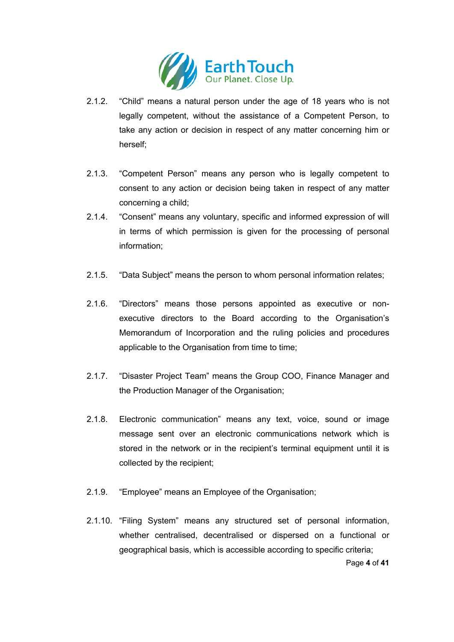

- 2.1.2. "Child" means a natural person under the age of 18 years who is not legally competent, without the assistance of a Competent Person, to take any action or decision in respect of any matter concerning him or herself;
- 2.1.3. "Competent Person" means any person who is legally competent to consent to any action or decision being taken in respect of any matter concerning a child;
- 2.1.4. "Consent" means any voluntary, specific and informed expression of will in terms of which permission is given for the processing of personal information;
- 2.1.5. "Data Subject" means the person to whom personal information relates;
- 2.1.6. "Directors" means those persons appointed as executive or nonexecutive directors to the Board according to the Organisation's Memorandum of Incorporation and the ruling policies and procedures applicable to the Organisation from time to time;
- 2.1.7. "Disaster Project Team" means the Group COO, Finance Manager and the Production Manager of the Organisation;
- 2.1.8. Electronic communication" means any text, voice, sound or image message sent over an electronic communications network which is stored in the network or in the recipient's terminal equipment until it is collected by the recipient;
- 2.1.9. "Employee" means an Employee of the Organisation;
- 2.1.10. "Filing System" means any structured set of personal information, whether centralised, decentralised or dispersed on a functional or geographical basis, which is accessible according to specific criteria;

Page **4** of **41**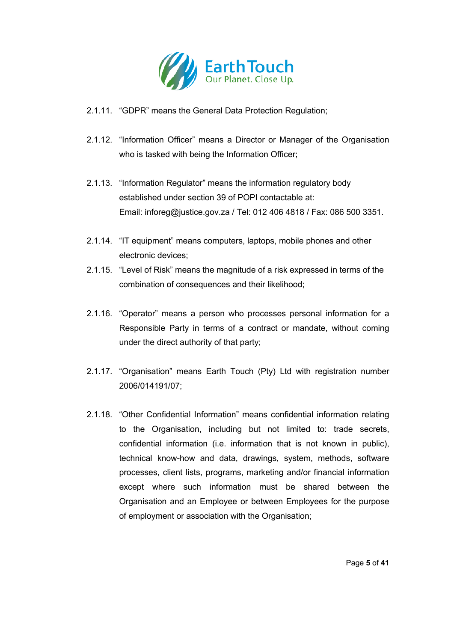

- 2.1.11. "GDPR" means the General Data Protection Regulation;
- 2.1.12. "Information Officer" means a Director or Manager of the Organisation who is tasked with being the Information Officer;
- 2.1.13. "Information Regulator" means the information regulatory body established under section 39 of POPI contactable at: Email: inforeg@justice.gov.za / Tel: 012 406 4818 / Fax: 086 500 3351.
- 2.1.14. "IT equipment" means computers, laptops, mobile phones and other electronic devices;
- 2.1.15. "Level of Risk" means the magnitude of a risk expressed in terms of the combination of consequences and their likelihood;
- 2.1.16. "Operator" means a person who processes personal information for a Responsible Party in terms of a contract or mandate, without coming under the direct authority of that party;
- 2.1.17. "Organisation" means Earth Touch (Pty) Ltd with registration number 2006/014191/07;
- 2.1.18. "Other Confidential Information" means confidential information relating to the Organisation, including but not limited to: trade secrets, confidential information (i.e. information that is not known in public), technical know-how and data, drawings, system, methods, software processes, client lists, programs, marketing and/or financial information except where such information must be shared between the Organisation and an Employee or between Employees for the purpose of employment or association with the Organisation;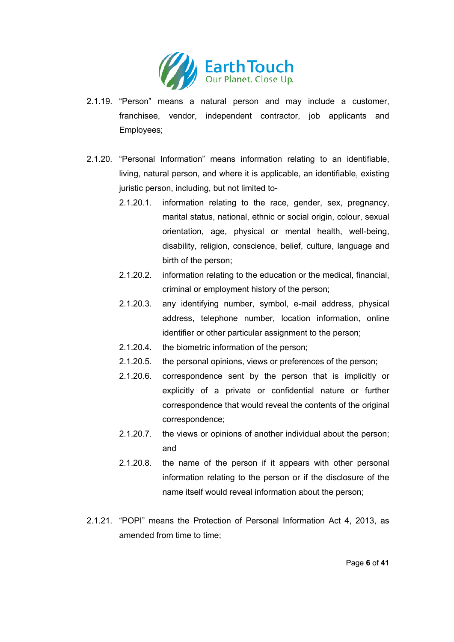

- 2.1.19. "Person" means a natural person and may include a customer, franchisee, vendor, independent contractor, job applicants and Employees;
- 2.1.20. "Personal Information" means information relating to an identifiable, living, natural person, and where it is applicable, an identifiable, existing juristic person, including, but not limited to-
	- 2.1.20.1. information relating to the race, gender, sex, pregnancy, marital status, national, ethnic or social origin, colour, sexual orientation, age, physical or mental health, well-being, disability, religion, conscience, belief, culture, language and birth of the person;
	- 2.1.20.2. information relating to the education or the medical, financial, criminal or employment history of the person;
	- 2.1.20.3. any identifying number, symbol, e-mail address, physical address, telephone number, location information, online identifier or other particular assignment to the person;
	- 2.1.20.4. the biometric information of the person;
	- 2.1.20.5. the personal opinions, views or preferences of the person;
	- 2.1.20.6. correspondence sent by the person that is implicitly or explicitly of a private or confidential nature or further correspondence that would reveal the contents of the original correspondence;
	- 2.1.20.7. the views or opinions of another individual about the person; and
	- 2.1.20.8. the name of the person if it appears with other personal information relating to the person or if the disclosure of the name itself would reveal information about the person;
- 2.1.21. "POPI" means the Protection of Personal Information Act 4, 2013, as amended from time to time;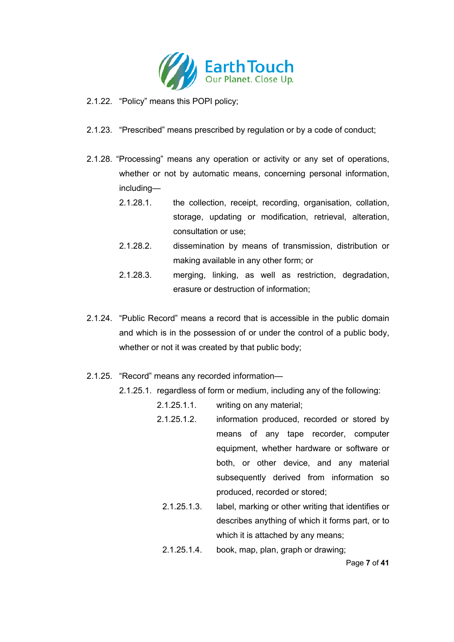

- 2.1.22. "Policy" means this POPI policy;
- 2.1.23. "Prescribed" means prescribed by regulation or by a code of conduct;
- 2.1.28. "Processing" means any operation or activity or any set of operations, whether or not by automatic means, concerning personal information, including—
	- 2.1.28.1. the collection, receipt, recording, organisation, collation, storage, updating or modification, retrieval, alteration, consultation or use;
	- 2.1.28.2. dissemination by means of transmission, distribution or making available in any other form; or
	- 2.1.28.3. merging, linking, as well as restriction, degradation, erasure or destruction of information;
- 2.1.24. "Public Record" means a record that is accessible in the public domain and which is in the possession of or under the control of a public body, whether or not it was created by that public body:
- 2.1.25. "Record" means any recorded information—
	- 2.1.25.1. regardless of form or medium, including any of the following:
		- 2.1.25.1.1. writing on any material;
		- 2.1.25.1.2. information produced, recorded or stored by means of any tape recorder, computer equipment, whether hardware or software or both, or other device, and any material subsequently derived from information so produced, recorded or stored;
			- 2.1.25.1.3. label, marking or other writing that identifies or describes anything of which it forms part, or to which it is attached by any means;
			- 2.1.25.1.4. book, map, plan, graph or drawing;

Page **7** of **41**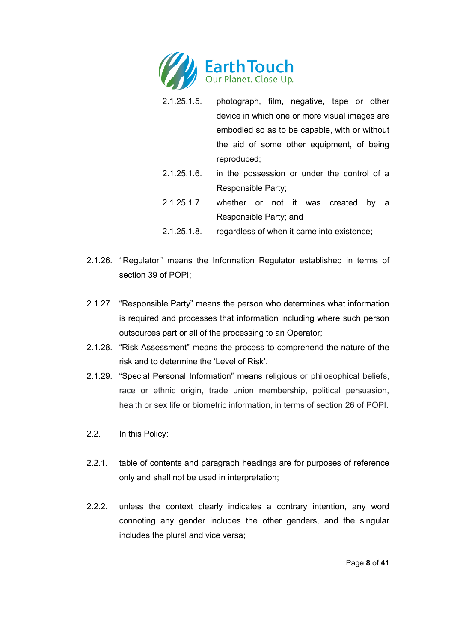

- 2.1.25.1.5. photograph, film, negative, tape or other device in which one or more visual images are embodied so as to be capable, with or without the aid of some other equipment, of being reproduced;
- 2.1.25.1.6. in the possession or under the control of a Responsible Party;
- 2.1.25.1.7. whether or not it was created by a Responsible Party; and
- 2.1.25.1.8. regardless of when it came into existence;
- 2.1.26. ''Regulator'' means the Information Regulator established in terms of section 39 of POPI;
- 2.1.27. "Responsible Party" means the person who determines what information is required and processes that information including where such person outsources part or all of the processing to an Operator;
- 2.1.28. "Risk Assessment" means the process to comprehend the nature of the risk and to determine the 'Level of Risk'.
- 2.1.29. "Special Personal Information" means religious or philosophical beliefs, race or ethnic origin, trade union membership, political persuasion, health or sex life or biometric information, in terms of section 26 of POPI.
- 2.2. In this Policy:
- 2.2.1. table of contents and paragraph headings are for purposes of reference only and shall not be used in interpretation;
- 2.2.2. unless the context clearly indicates a contrary intention, any word connoting any gender includes the other genders, and the singular includes the plural and vice versa;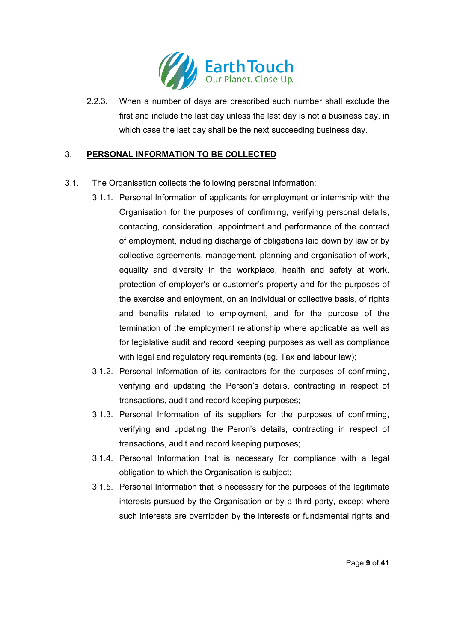

2.2.3. When a number of days are prescribed such number shall exclude the first and include the last day unless the last day is not a business day, in which case the last day shall be the next succeeding business day.

# 3. **PERSONAL INFORMATION TO BE COLLECTED**

- 3.1. The Organisation collects the following personal information:
	- 3.1.1. Personal Information of applicants for employment or internship with the Organisation for the purposes of confirming, verifying personal details, contacting, consideration, appointment and performance of the contract of employment, including discharge of obligations laid down by law or by collective agreements, management, planning and organisation of work, equality and diversity in the workplace, health and safety at work, protection of employer's or customer's property and for the purposes of the exercise and enjoyment, on an individual or collective basis, of rights and benefits related to employment, and for the purpose of the termination of the employment relationship where applicable as well as for legislative audit and record keeping purposes as well as compliance with legal and regulatory requirements (eg. Tax and labour law);
	- 3.1.2. Personal Information of its contractors for the purposes of confirming, verifying and updating the Person's details, contracting in respect of transactions, audit and record keeping purposes;
	- 3.1.3. Personal Information of its suppliers for the purposes of confirming, verifying and updating the Peron's details, contracting in respect of transactions, audit and record keeping purposes;
	- 3.1.4. Personal Information that is necessary for compliance with a legal obligation to which the Organisation is subject;
	- 3.1.5. Personal Information that is necessary for the purposes of the legitimate interests pursued by the Organisation or by a third party, except where such interests are overridden by the interests or fundamental rights and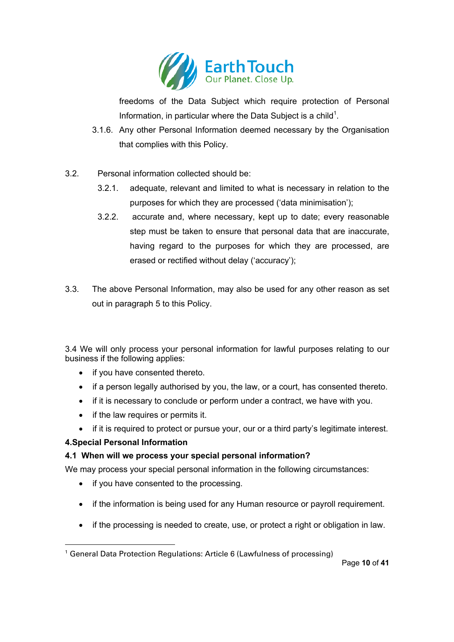

freedoms of the Data Subject which require protection of Personal Information, in particular where the Data Subject is a child<sup>1</sup>.

- 3.1.6. Any other Personal Information deemed necessary by the Organisation that complies with this Policy.
- 3.2. Personal information collected should be:
	- 3.2.1. adequate, relevant and limited to what is necessary in relation to the purposes for which they are processed ('data minimisation');
	- 3.2.2. accurate and, where necessary, kept up to date; every reasonable step must be taken to ensure that personal data that are inaccurate, having regard to the purposes for which they are processed, are erased or rectified without delay ('accuracy');
- 3.3. The above Personal Information, may also be used for any other reason as set out in paragraph 5 to this Policy.

3.4 We will only process your personal information for lawful purposes relating to our business if the following applies:

- if you have consented thereto.
- if a person legally authorised by you, the law, or a court, has consented thereto.
- if it is necessary to conclude or perform under a contract, we have with you.
- if the law requires or permits it.
- if it is required to protect or pursue your, our or a third party's legitimate interest.

# **4.Special Personal Information**

# **4.1 When will we process your special personal information?**

We may process your special personal information in the following circumstances:

- if you have consented to the processing.
- if the information is being used for any Human resource or payroll requirement.
- if the processing is needed to create, use, or protect a right or obligation in law.

<sup>&</sup>lt;sup>1</sup> General Data Protection Regulations: Article 6 (Lawfulness of processing)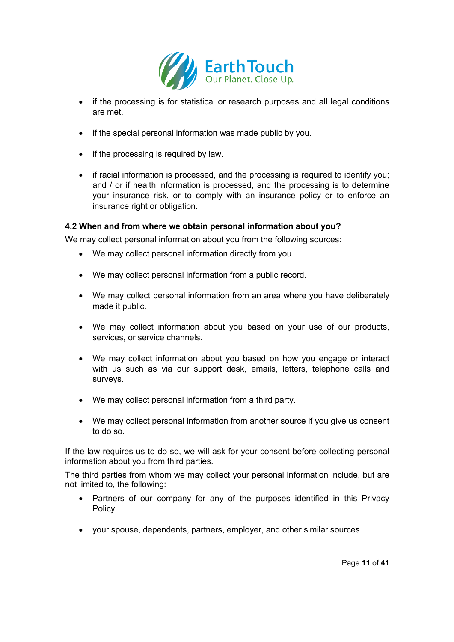

- if the processing is for statistical or research purposes and all legal conditions are met.
- if the special personal information was made public by you.
- if the processing is required by law.
- if racial information is processed, and the processing is required to identify you; and / or if health information is processed, and the processing is to determine your insurance risk, or to comply with an insurance policy or to enforce an insurance right or obligation.

#### **4.2 When and from where we obtain personal information about you?**

We may collect personal information about you from the following sources:

- We may collect personal information directly from you.
- We may collect personal information from a public record.
- We may collect personal information from an area where you have deliberately made it public.
- We may collect information about you based on your use of our products, services, or service channels.
- We may collect information about you based on how you engage or interact with us such as via our support desk, emails, letters, telephone calls and surveys.
- We may collect personal information from a third party.
- We may collect personal information from another source if you give us consent to do so.

If the law requires us to do so, we will ask for your consent before collecting personal information about you from third parties.

The third parties from whom we may collect your personal information include, but are not limited to, the following:

- Partners of our company for any of the purposes identified in this Privacy Policy.
- your spouse, dependents, partners, employer, and other similar sources.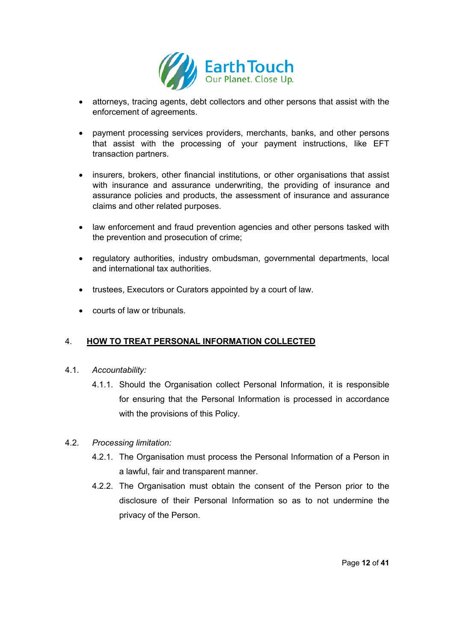

- attorneys, tracing agents, debt collectors and other persons that assist with the enforcement of agreements.
- payment processing services providers, merchants, banks, and other persons that assist with the processing of your payment instructions, like EFT transaction partners.
- insurers, brokers, other financial institutions, or other organisations that assist with insurance and assurance underwriting, the providing of insurance and assurance policies and products, the assessment of insurance and assurance claims and other related purposes.
- law enforcement and fraud prevention agencies and other persons tasked with the prevention and prosecution of crime;
- regulatory authorities, industry ombudsman, governmental departments, local and international tax authorities.
- trustees, Executors or Curators appointed by a court of law.
- courts of law or tribunals.

# 4. **HOW TO TREAT PERSONAL INFORMATION COLLECTED**

- 4.1. *Accountability:* 
	- 4.1.1. Should the Organisation collect Personal Information, it is responsible for ensuring that the Personal Information is processed in accordance with the provisions of this Policy.
- 4.2. *Processing limitation:* 
	- 4.2.1. The Organisation must process the Personal Information of a Person in a lawful, fair and transparent manner.
	- 4.2.2. The Organisation must obtain the consent of the Person prior to the disclosure of their Personal Information so as to not undermine the privacy of the Person.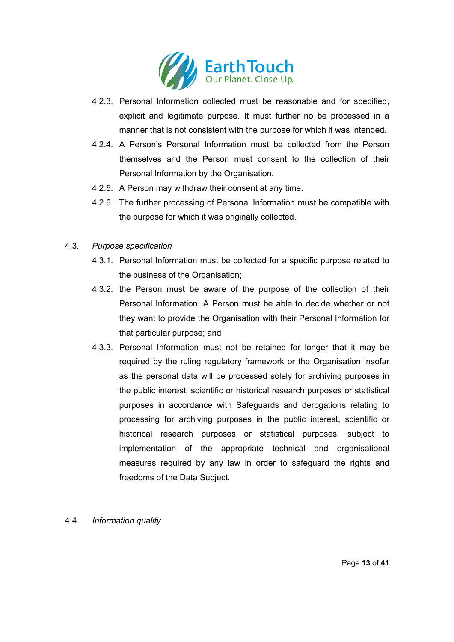

- 4.2.3. Personal Information collected must be reasonable and for specified, explicit and legitimate purpose. It must further no be processed in a manner that is not consistent with the purpose for which it was intended.
- 4.2.4. A Person's Personal Information must be collected from the Person themselves and the Person must consent to the collection of their Personal Information by the Organisation.
- 4.2.5. A Person may withdraw their consent at any time.
- 4.2.6. The further processing of Personal Information must be compatible with the purpose for which it was originally collected.
- 4.3. *Purpose specification*
	- 4.3.1. Personal Information must be collected for a specific purpose related to the business of the Organisation;
	- 4.3.2. the Person must be aware of the purpose of the collection of their Personal Information. A Person must be able to decide whether or not they want to provide the Organisation with their Personal Information for that particular purpose; and
	- 4.3.3. Personal Information must not be retained for longer that it may be required by the ruling regulatory framework or the Organisation insofar as the personal data will be processed solely for archiving purposes in the public interest, scientific or historical research purposes or statistical purposes in accordance with Safeguards and derogations relating to processing for archiving purposes in the public interest, scientific or historical research purposes or statistical purposes, subject to implementation of the appropriate technical and organisational measures required by any law in order to safeguard the rights and freedoms of the Data Subject.
- 4.4. *Information quality*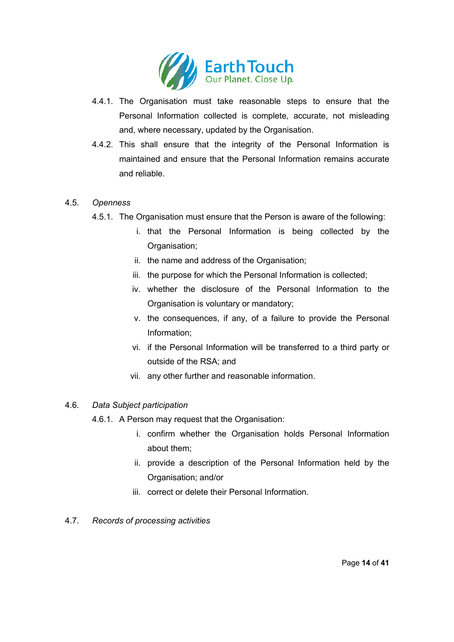

- 4.4.1. The Organisation must take reasonable steps to ensure that the Personal Information collected is complete, accurate, not misleading and, where necessary, updated by the Organisation.
- 4.4.2. This shall ensure that the integrity of the Personal Information is maintained and ensure that the Personal Information remains accurate and reliable.

#### 4.5. *Openness*

- 4.5.1. The Organisation must ensure that the Person is aware of the following:
	- i. that the Personal Information is being collected by the Organisation;
	- ii. the name and address of the Organisation;
	- iii. the purpose for which the Personal Information is collected;
	- iv. whether the disclosure of the Personal Information to the Organisation is voluntary or mandatory;
	- v. the consequences, if any, of a failure to provide the Personal Information;
	- vi. if the Personal Information will be transferred to a third party or outside of the RSA; and
	- vii. any other further and reasonable information.

# 4.6. *Data Subject participation*

- 4.6.1. A Person may request that the Organisation:
	- i. confirm whether the Organisation holds Personal Information about them;
	- ii. provide a description of the Personal Information held by the Organisation; and/or
	- iii. correct or delete their Personal Information.
- 4.7. *Records of processing activities*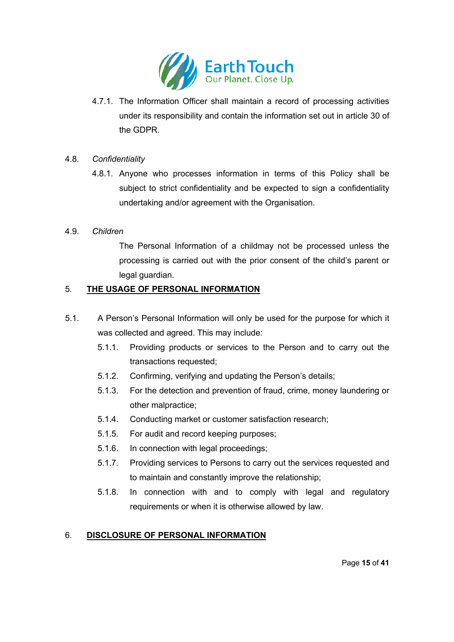

4.7.1. The Information Officer shall maintain a record of processing activities under its responsibility and contain the information set out in article 30 of the GDPR.

# 4.8. *Confidentiality*

4.8.1. Anyone who processes information in terms of this Policy shall be subject to strict confidentiality and be expected to sign a confidentiality undertaking and/or agreement with the Organisation.

#### 4.9. *Children*

The Personal Information of a childmay not be processed unless the processing is carried out with the prior consent of the child's parent or legal guardian.

#### 5. **THE USAGE OF PERSONAL INFORMATION**

- 5.1. A Person's Personal Information will only be used for the purpose for which it was collected and agreed. This may include:
	- 5.1.1. Providing products or services to the Person and to carry out the transactions requested;
	- 5.1.2. Confirming, verifying and updating the Person's details;
	- 5.1.3. For the detection and prevention of fraud, crime, money laundering or other malpractice;
	- 5.1.4. Conducting market or customer satisfaction research;
	- 5.1.5. For audit and record keeping purposes;
	- 5.1.6. In connection with legal proceedings;
	- 5.1.7. Providing services to Persons to carry out the services requested and to maintain and constantly improve the relationship;
	- 5.1.8. In connection with and to comply with legal and regulatory requirements or when it is otherwise allowed by law.

# 6. **DISCLOSURE OF PERSONAL INFORMATION**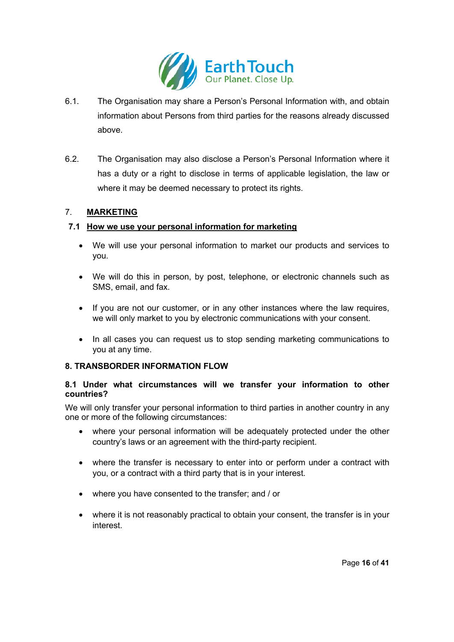

- 6.1. The Organisation may share a Person's Personal Information with, and obtain information about Persons from third parties for the reasons already discussed above.
- 6.2. The Organisation may also disclose a Person's Personal Information where it has a duty or a right to disclose in terms of applicable legislation, the law or where it may be deemed necessary to protect its rights.

# 7. **MARKETING**

#### **7.1 How we use your personal information for marketing**

- We will use your personal information to market our products and services to you.
- We will do this in person, by post, telephone, or electronic channels such as SMS, email, and fax.
- If you are not our customer, or in any other instances where the law requires, we will only market to you by electronic communications with your consent.
- In all cases you can request us to stop sending marketing communications to you at any time.

# **8. TRANSBORDER INFORMATION FLOW**

#### **8.1 Under what circumstances will we transfer your information to other countries?**

We will only transfer your personal information to third parties in another country in any one or more of the following circumstances:

- where your personal information will be adequately protected under the other country's laws or an agreement with the third-party recipient.
- where the transfer is necessary to enter into or perform under a contract with you, or a contract with a third party that is in your interest.
- where you have consented to the transfer; and / or
- where it is not reasonably practical to obtain your consent, the transfer is in your interest.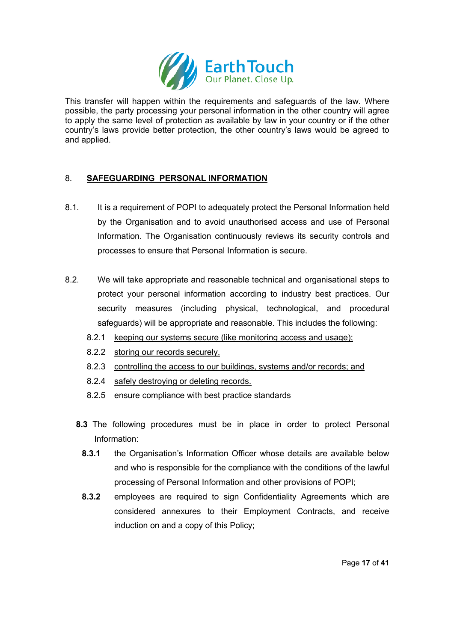

This transfer will happen within the requirements and safeguards of the law. Where possible, the party processing your personal information in the other country will agree to apply the same level of protection as available by law in your country or if the other country's laws provide better protection, the other country's laws would be agreed to and applied.

# 8. **SAFEGUARDING PERSONAL INFORMATION**

- 8.1. It is a requirement of POPI to adequately protect the Personal Information held by the Organisation and to avoid unauthorised access and use of Personal Information. The Organisation continuously reviews its security controls and processes to ensure that Personal Information is secure.
- 8.2. We will take appropriate and reasonable technical and organisational steps to protect your personal information according to industry best practices. Our security measures (including physical, technological, and procedural safeguards) will be appropriate and reasonable. This includes the following:
	- 8.2.1 keeping our systems secure (like monitoring access and usage);
	- 8.2.2 storing our records securely.
	- 8.2.3 controlling the access to our buildings, systems and/or records; and
	- 8.2.4 safely destroying or deleting records.
	- 8.2.5 ensure compliance with best practice standards
	- **8.3** The following procedures must be in place in order to protect Personal Information:
		- **8.3.1** the Organisation's Information Officer whose details are available below and who is responsible for the compliance with the conditions of the lawful processing of Personal Information and other provisions of POPI;
		- **8.3.2** employees are required to sign Confidentiality Agreements which are considered annexures to their Employment Contracts, and receive induction on and a copy of this Policy;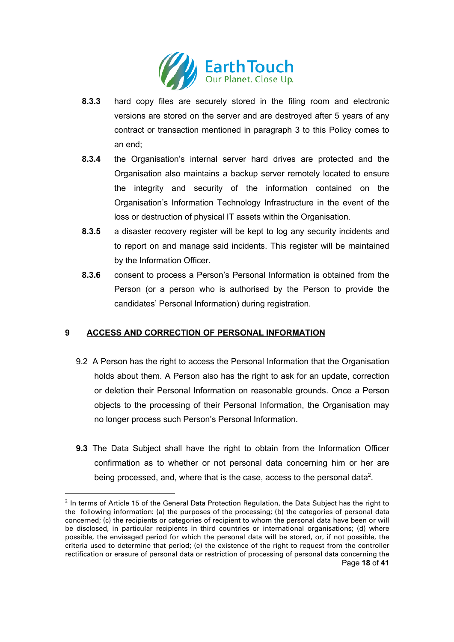

- **8.3.3** hard copy files are securely stored in the filing room and electronic versions are stored on the server and are destroyed after 5 years of any contract or transaction mentioned in paragraph 3 to this Policy comes to an end;
- **8.3.4** the Organisation's internal server hard drives are protected and the Organisation also maintains a backup server remotely located to ensure the integrity and security of the information contained on the Organisation's Information Technology Infrastructure in the event of the loss or destruction of physical IT assets within the Organisation.
- **8.3.5** a disaster recovery register will be kept to log any security incidents and to report on and manage said incidents. This register will be maintained by the Information Officer.
- **8.3.6** consent to process a Person's Personal Information is obtained from the Person (or a person who is authorised by the Person to provide the candidates' Personal Information) during registration.

# **9 ACCESS AND CORRECTION OF PERSONAL INFORMATION**

- 9.2 A Person has the right to access the Personal Information that the Organisation holds about them. A Person also has the right to ask for an update, correction or deletion their Personal Information on reasonable grounds. Once a Person objects to the processing of their Personal Information, the Organisation may no longer process such Person's Personal Information.
- **9.3** The Data Subject shall have the right to obtain from the Information Officer confirmation as to whether or not personal data concerning him or her are being processed, and, where that is the case, access to the personal data<sup>2</sup>.

Page **18** of **41**  $2$  In terms of Article 15 of the General Data Protection Regulation, the Data Subject has the right to the following information: (a) the purposes of the processing; (b) the categories of personal data concerned; (c) the recipients or categories of recipient to whom the personal data have been or will be disclosed, in particular recipients in third countries or international organisations; (d) where possible, the envisaged period for which the personal data will be stored, or, if not possible, the criteria used to determine that period; (e) the existence of the right to request from the controller rectification or erasure of personal data or restriction of processing of personal data concerning the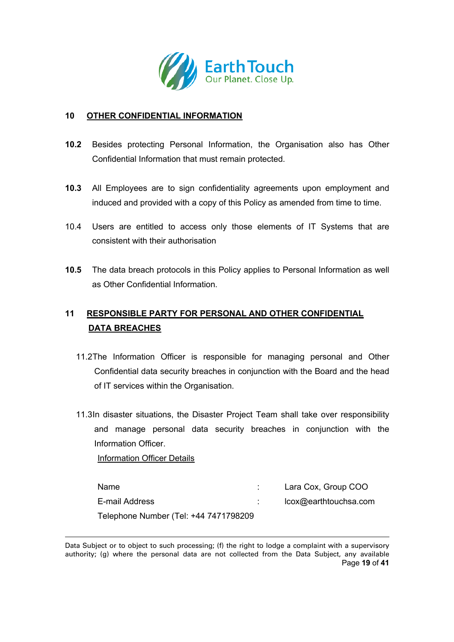

#### **10 OTHER CONFIDENTIAL INFORMATION**

- **10.2** Besides protecting Personal Information, the Organisation also has Other Confidential Information that must remain protected.
- **10.3** All Employees are to sign confidentiality agreements upon employment and induced and provided with a copy of this Policy as amended from time to time.
- 10.4 Users are entitled to access only those elements of IT Systems that are consistent with their authorisation
- **10.5** The data breach protocols in this Policy applies to Personal Information as well as Other Confidential Information.

# **11 RESPONSIBLE PARTY FOR PERSONAL AND OTHER CONFIDENTIAL DATA BREACHES**

- 11.2The Information Officer is responsible for managing personal and Other Confidential data security breaches in conjunction with the Board and the head of IT services within the Organisation.
- 11.3In disaster situations, the Disaster Project Team shall take over responsibility and manage personal data security breaches in conjunction with the Information Officer.

Information Officer Details

| Name                                  | Lara Cox, Group COO   |
|---------------------------------------|-----------------------|
| E-mail Address                        | lcox@earthtouchsa.com |
| Telephone Number (Tel: +44 7471798209 |                       |

Page **19** of **41** Data Subject or to object to such processing; (f) the right to lodge a complaint with a supervisory authority; (g) where the personal data are not collected from the Data Subject, any available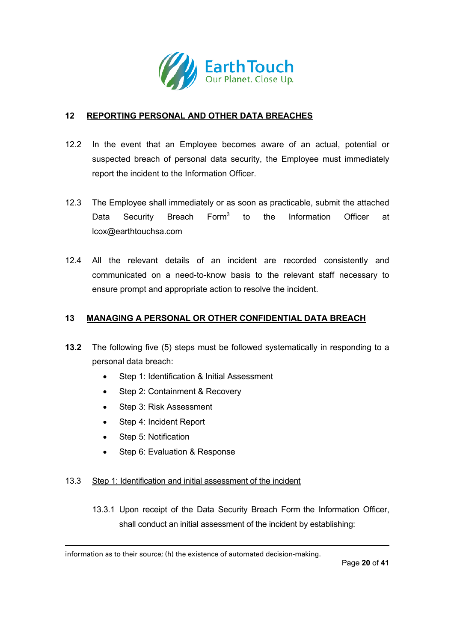

# **12 REPORTING PERSONAL AND OTHER DATA BREACHES**

- 12.2 In the event that an Employee becomes aware of an actual, potential or suspected breach of personal data security, the Employee must immediately report the incident to the Information Officer.
- 12.3 The Employee shall immediately or as soon as practicable, submit the attached Data Security Breach Form<sup>3</sup> to the Information Officer at lcox@earthtouchsa.com
- 12.4 All the relevant details of an incident are recorded consistently and communicated on a need-to-know basis to the relevant staff necessary to ensure prompt and appropriate action to resolve the incident.

#### **13 MANAGING A PERSONAL OR OTHER CONFIDENTIAL DATA BREACH**

- **13.2** The following five (5) steps must be followed systematically in responding to a personal data breach:
	- Step 1: Identification & Initial Assessment
	- Step 2: Containment & Recovery
	- Step 3: Risk Assessment
	- Step 4: Incident Report
	- Step 5: Notification
	- Step 6: Evaluation & Response

#### 13.3 Step 1: Identification and initial assessment of the incident

13.3.1 Upon receipt of the Data Security Breach Form the Information Officer, shall conduct an initial assessment of the incident by establishing:

information as to their source; (h) the existence of automated decision-making.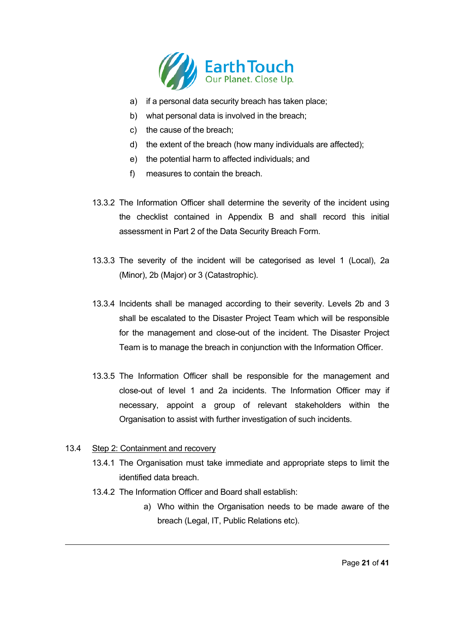

- a) if a personal data security breach has taken place;
- b) what personal data is involved in the breach;
- c) the cause of the breach;
- d) the extent of the breach (how many individuals are affected);
- e) the potential harm to affected individuals; and
- f) measures to contain the breach.
- 13.3.2 The Information Officer shall determine the severity of the incident using the checklist contained in Appendix B and shall record this initial assessment in Part 2 of the Data Security Breach Form.
- 13.3.3 The severity of the incident will be categorised as level 1 (Local), 2a (Minor), 2b (Major) or 3 (Catastrophic).
- 13.3.4 Incidents shall be managed according to their severity. Levels 2b and 3 shall be escalated to the Disaster Project Team which will be responsible for the management and close-out of the incident. The Disaster Project Team is to manage the breach in conjunction with the Information Officer.
- 13.3.5 The Information Officer shall be responsible for the management and close-out of level 1 and 2a incidents. The Information Officer may if necessary, appoint a group of relevant stakeholders within the Organisation to assist with further investigation of such incidents.

# 13.4 Step 2: Containment and recovery

- 13.4.1 The Organisation must take immediate and appropriate steps to limit the identified data breach.
- 13.4.2 The Information Officer and Board shall establish:
	- a) Who within the Organisation needs to be made aware of the breach (Legal, IT, Public Relations etc).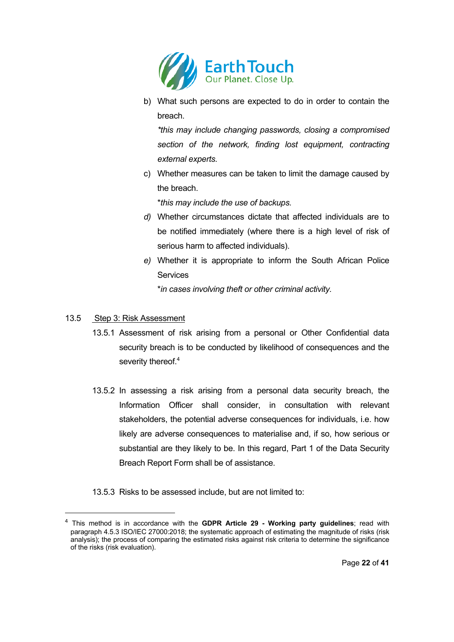

b) What such persons are expected to do in order to contain the breach.

*\*this may include changing passwords, closing a compromised section of the network, finding lost equipment, contracting external experts.*

c) Whether measures can be taken to limit the damage caused by the breach.

\**this may include the use of backups.* 

- *d)* Whether circumstances dictate that affected individuals are to be notified immediately (where there is a high level of risk of serious harm to affected individuals).
- *e)* Whether it is appropriate to inform the South African Police Services

\**in cases involving theft or other criminal activity.* 

## 13.5 Step 3: Risk Assessment

- 13.5.1 Assessment of risk arising from a personal or Other Confidential data security breach is to be conducted by likelihood of consequences and the severity thereof.<sup>4</sup>
- 13.5.2 In assessing a risk arising from a personal data security breach, the Information Officer shall consider, in consultation with relevant stakeholders, the potential adverse consequences for individuals, i.e. how likely are adverse consequences to materialise and, if so, how serious or substantial are they likely to be. In this regard, Part 1 of the Data Security Breach Report Form shall be of assistance.
- 13.5.3 Risks to be assessed include, but are not limited to:

<sup>4</sup> This method is in accordance with the **GDPR Article 29 - Working party guidelines**; read with paragraph 4.5.3 ISO/IEC 27000:2018; the systematic approach of estimating the magnitude of risks (risk analysis); the process of comparing the estimated risks against risk criteria to determine the significance of the risks (risk evaluation).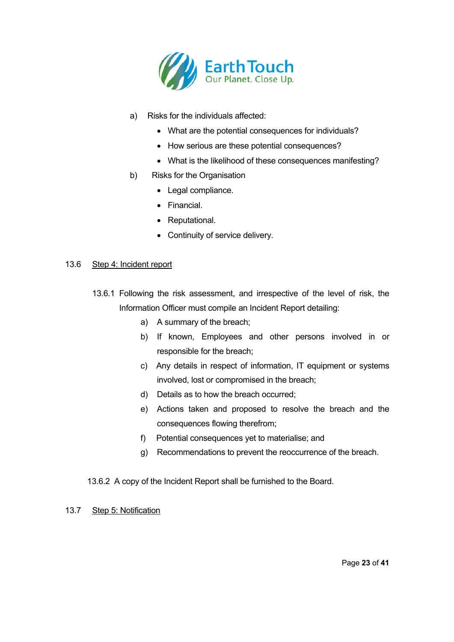

- a) Risks for the individuals affected:
	- What are the potential consequences for individuals?
	- How serious are these potential consequences?
	- What is the likelihood of these consequences manifesting?
- b) Risks for the Organisation
	- Legal compliance.
	- Financial.
	- Reputational.
	- Continuity of service delivery.

#### 13.6 Step 4: Incident report

- 13.6.1 Following the risk assessment, and irrespective of the level of risk, the Information Officer must compile an Incident Report detailing:
	- a) A summary of the breach;
	- b) If known, Employees and other persons involved in or responsible for the breach;
	- c) Any details in respect of information, IT equipment or systems involved, lost or compromised in the breach;
	- d) Details as to how the breach occurred;
	- e) Actions taken and proposed to resolve the breach and the consequences flowing therefrom;
	- f) Potential consequences yet to materialise; and
	- g) Recommendations to prevent the reoccurrence of the breach.

13.6.2 A copy of the Incident Report shall be furnished to the Board.

#### 13.7 Step 5: Notification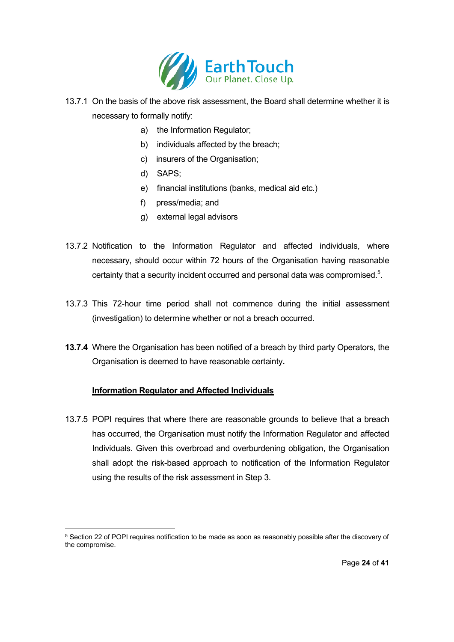

- 13.7.1 On the basis of the above risk assessment, the Board shall determine whether it is necessary to formally notify:
	- a) the Information Regulator;
	- b) individuals affected by the breach;
	- c) insurers of the Organisation;
	- d) SAPS;
	- e) financial institutions (banks, medical aid etc.)
	- f) press/media; and
	- g) external legal advisors
- 13.7.2 Notification to the Information Regulator and affected individuals, where necessary, should occur within 72 hours of the Organisation having reasonable certainty that a security incident occurred and personal data was compromised.<sup>5</sup>.
- 13.7.3 This 72-hour time period shall not commence during the initial assessment (investigation) to determine whether or not a breach occurred.
- **13.7.4** Where the Organisation has been notified of a breach by third party Operators, the Organisation is deemed to have reasonable certainty**.**

# **Information Regulator and Affected Individuals**

13.7.5 POPI requires that where there are reasonable grounds to believe that a breach has occurred, the Organisation must notify the Information Regulator and affected Individuals. Given this overbroad and overburdening obligation, the Organisation shall adopt the risk-based approach to notification of the Information Regulator using the results of the risk assessment in Step 3.

<sup>&</sup>lt;sup>5</sup> Section 22 of POPI requires notification to be made as soon as reasonably possible after the discovery of the compromise.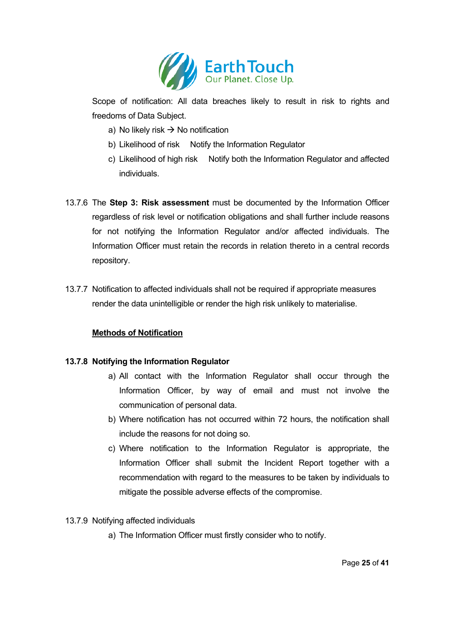

Scope of notification: All data breaches likely to result in risk to rights and freedoms of Data Subject.

- a) No likely risk  $\rightarrow$  No notification
- b) Likelihood of risk Notify the Information Regulator
- c) Likelihood of high risk Notify both the Information Regulator and affected individuals.
- 13.7.6 The **Step 3: Risk assessment** must be documented by the Information Officer regardless of risk level or notification obligations and shall further include reasons for not notifying the Information Regulator and/or affected individuals. The Information Officer must retain the records in relation thereto in a central records repository.
- 13.7.7 Notification to affected individuals shall not be required if appropriate measures render the data unintelligible or render the high risk unlikely to materialise.

# **Methods of Notification**

# **13.7.8 Notifying the Information Regulator**

- a) All contact with the Information Regulator shall occur through the Information Officer, by way of email and must not involve the communication of personal data.
- b) Where notification has not occurred within 72 hours, the notification shall include the reasons for not doing so.
- c) Where notification to the Information Regulator is appropriate, the Information Officer shall submit the Incident Report together with a recommendation with regard to the measures to be taken by individuals to mitigate the possible adverse effects of the compromise.
- 13.7.9 Notifying affected individuals
	- a) The Information Officer must firstly consider who to notify.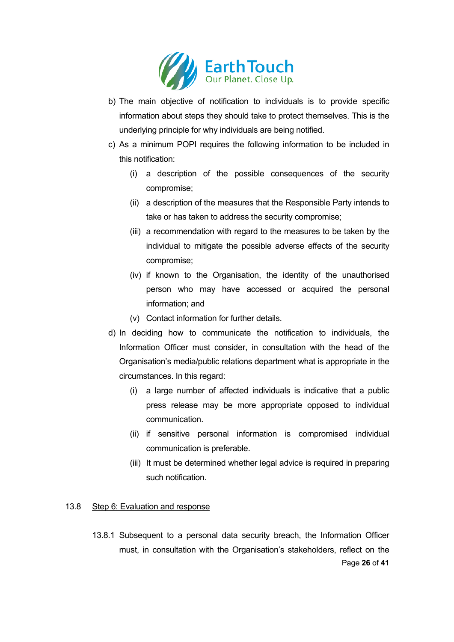

- b) The main objective of notification to individuals is to provide specific information about steps they should take to protect themselves. This is the underlying principle for why individuals are being notified.
- c) As a minimum POPI requires the following information to be included in this notification:
	- (i) a description of the possible consequences of the security compromise;
	- (ii) a description of the measures that the Responsible Party intends to take or has taken to address the security compromise;
	- (iii) a recommendation with regard to the measures to be taken by the individual to mitigate the possible adverse effects of the security compromise;
	- (iv) if known to the Organisation, the identity of the unauthorised person who may have accessed or acquired the personal information; and
	- (v) Contact information for further details.
- d) In deciding how to communicate the notification to individuals, the Information Officer must consider, in consultation with the head of the Organisation's media/public relations department what is appropriate in the circumstances. In this regard:
	- (i) a large number of affected individuals is indicative that a public press release may be more appropriate opposed to individual communication.
	- (ii) if sensitive personal information is compromised individual communication is preferable.
	- (iii) It must be determined whether legal advice is required in preparing such notification.

# 13.8 Step 6: Evaluation and response

Page **26** of **41** 13.8.1 Subsequent to a personal data security breach, the Information Officer must, in consultation with the Organisation's stakeholders, reflect on the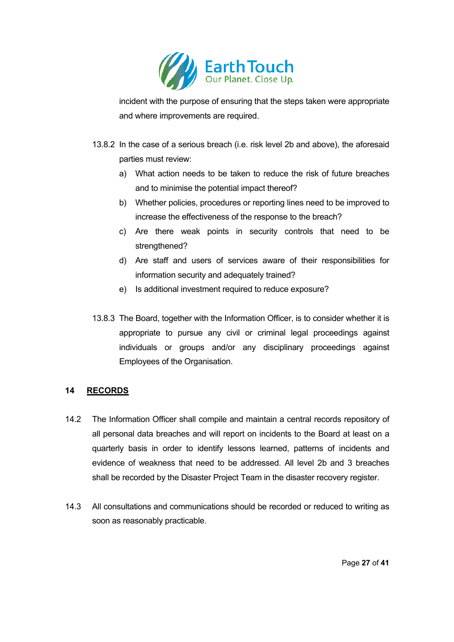

incident with the purpose of ensuring that the steps taken were appropriate and where improvements are required.

- 13.8.2 In the case of a serious breach (i.e. risk level 2b and above), the aforesaid parties must review:
	- a) What action needs to be taken to reduce the risk of future breaches and to minimise the potential impact thereof?
	- b) Whether policies, procedures or reporting lines need to be improved to increase the effectiveness of the response to the breach?
	- c) Are there weak points in security controls that need to be strengthened?
	- d) Are staff and users of services aware of their responsibilities for information security and adequately trained?
	- e) Is additional investment required to reduce exposure?
- 13.8.3 The Board, together with the Information Officer, is to consider whether it is appropriate to pursue any civil or criminal legal proceedings against individuals or groups and/or any disciplinary proceedings against Employees of the Organisation.

# **14 RECORDS**

- 14.2 The Information Officer shall compile and maintain a central records repository of all personal data breaches and will report on incidents to the Board at least on a quarterly basis in order to identify lessons learned, patterns of incidents and evidence of weakness that need to be addressed. All level 2b and 3 breaches shall be recorded by the Disaster Project Team in the disaster recovery register.
- 14.3 All consultations and communications should be recorded or reduced to writing as soon as reasonably practicable.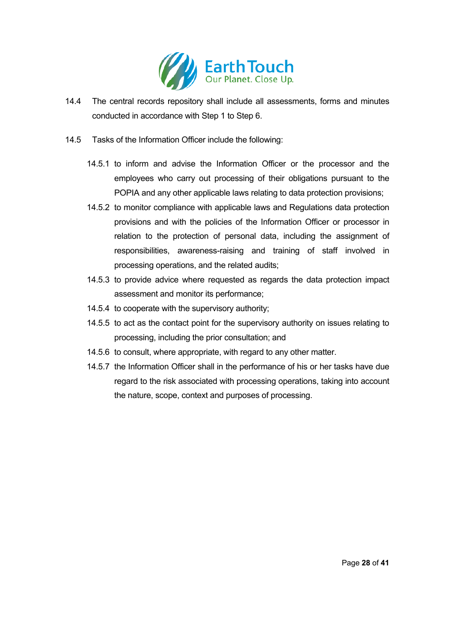

- 14.4 The central records repository shall include all assessments, forms and minutes conducted in accordance with Step 1 to Step 6.
- 14.5 Tasks of the Information Officer include the following:
	- 14.5.1 to inform and advise the Information Officer or the processor and the employees who carry out processing of their obligations pursuant to the POPIA and any other applicable laws relating to data protection provisions;
	- 14.5.2 to monitor compliance with applicable laws and Regulations data protection provisions and with the policies of the Information Officer or processor in relation to the protection of personal data, including the assignment of responsibilities, awareness-raising and training of staff involved in processing operations, and the related audits;
	- 14.5.3 to provide advice where requested as regards the data protection impact assessment and monitor its performance;
	- 14.5.4 to cooperate with the supervisory authority;
	- 14.5.5 to act as the contact point for the supervisory authority on issues relating to processing, including the prior consultation; and
	- 14.5.6 to consult, where appropriate, with regard to any other matter.
	- 14.5.7 the Information Officer shall in the performance of his or her tasks have due regard to the risk associated with processing operations, taking into account the nature, scope, context and purposes of processing.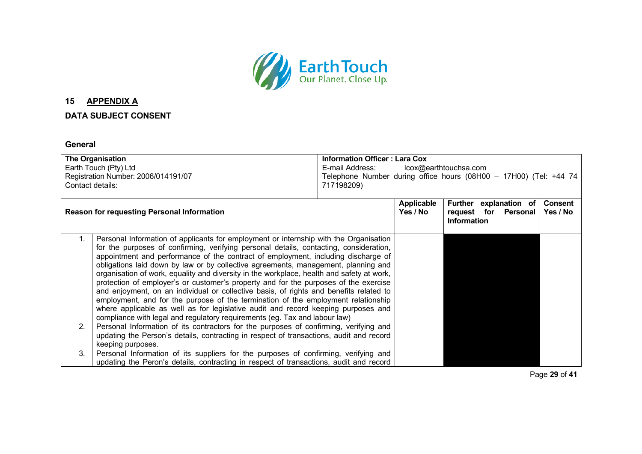

# **15 APPENDIX A**

# **DATA SUBJECT CONSENT**

#### **General**

|                                                                                                          | <b>The Organisation</b>                                                                                                                                                                                                                                                                                                                                                                                                                                                                                                                                                                                                                                                                                                                                                                                             | <b>Information Officer: Lara Cox</b> |                               |                                                                      |  |                            |
|----------------------------------------------------------------------------------------------------------|---------------------------------------------------------------------------------------------------------------------------------------------------------------------------------------------------------------------------------------------------------------------------------------------------------------------------------------------------------------------------------------------------------------------------------------------------------------------------------------------------------------------------------------------------------------------------------------------------------------------------------------------------------------------------------------------------------------------------------------------------------------------------------------------------------------------|--------------------------------------|-------------------------------|----------------------------------------------------------------------|--|----------------------------|
| Earth Touch (Pty) Ltd<br>E-mail Address:                                                                 |                                                                                                                                                                                                                                                                                                                                                                                                                                                                                                                                                                                                                                                                                                                                                                                                                     |                                      | lcox@earthtouchsa.com         |                                                                      |  |                            |
| Registration Number: 2006/014191/07<br>Telephone Number during office hours (08H00 - 17H00) (Tel: +44 74 |                                                                                                                                                                                                                                                                                                                                                                                                                                                                                                                                                                                                                                                                                                                                                                                                                     |                                      |                               |                                                                      |  |                            |
|                                                                                                          | Contact details:                                                                                                                                                                                                                                                                                                                                                                                                                                                                                                                                                                                                                                                                                                                                                                                                    | 717198209)                           |                               |                                                                      |  |                            |
|                                                                                                          |                                                                                                                                                                                                                                                                                                                                                                                                                                                                                                                                                                                                                                                                                                                                                                                                                     |                                      |                               |                                                                      |  |                            |
|                                                                                                          | <b>Reason for requesting Personal Information</b>                                                                                                                                                                                                                                                                                                                                                                                                                                                                                                                                                                                                                                                                                                                                                                   |                                      | <b>Applicable</b><br>Yes / No | Further explanation of<br>request for Personal<br><b>Information</b> |  | <b>Consent</b><br>Yes / No |
| 1.                                                                                                       | Personal Information of applicants for employment or internship with the Organisation<br>for the purposes of confirming, verifying personal details, contacting, consideration,<br>appointment and performance of the contract of employment, including discharge of<br>obligations laid down by law or by collective agreements, management, planning and<br>organisation of work, equality and diversity in the workplace, health and safety at work,<br>protection of employer's or customer's property and for the purposes of the exercise<br>and enjoyment, on an individual or collective basis, of rights and benefits related to<br>employment, and for the purpose of the termination of the employment relationship<br>where applicable as well as for legislative audit and record keeping purposes and |                                      |                               |                                                                      |  |                            |
| 2.                                                                                                       | compliance with legal and regulatory requirements (eg. Tax and labour law)<br>Personal Information of its contractors for the purposes of confirming, verifying and<br>updating the Person's details, contracting in respect of transactions, audit and record<br>keeping purposes.                                                                                                                                                                                                                                                                                                                                                                                                                                                                                                                                 |                                      |                               |                                                                      |  |                            |
| 3.                                                                                                       | Personal Information of its suppliers for the purposes of confirming, verifying and<br>updating the Peron's details, contracting in respect of transactions, audit and record                                                                                                                                                                                                                                                                                                                                                                                                                                                                                                                                                                                                                                       |                                      |                               |                                                                      |  |                            |

Page **29** of **41**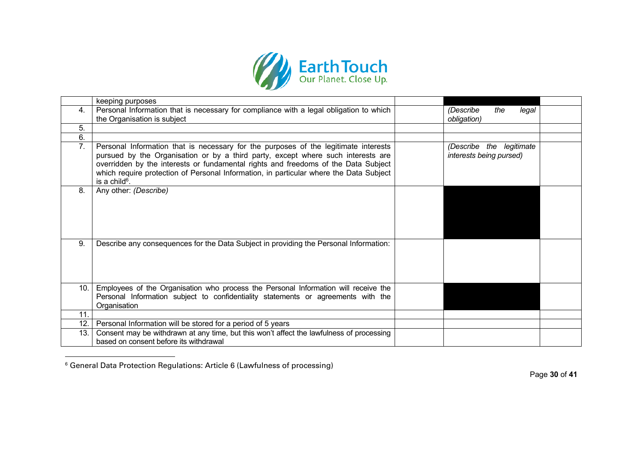

|      | keeping purposes                                                                                                                                                                                                                                                                                                                                                                     |                                                     |  |
|------|--------------------------------------------------------------------------------------------------------------------------------------------------------------------------------------------------------------------------------------------------------------------------------------------------------------------------------------------------------------------------------------|-----------------------------------------------------|--|
| 4.   | Personal Information that is necessary for compliance with a legal obligation to which<br>the Organisation is subject                                                                                                                                                                                                                                                                | (Describe<br>the<br>legal<br>obligation)            |  |
|      |                                                                                                                                                                                                                                                                                                                                                                                      |                                                     |  |
| 5.   |                                                                                                                                                                                                                                                                                                                                                                                      |                                                     |  |
| 6.   |                                                                                                                                                                                                                                                                                                                                                                                      |                                                     |  |
| 7.   | Personal Information that is necessary for the purposes of the legitimate interests<br>pursued by the Organisation or by a third party, except where such interests are<br>overridden by the interests or fundamental rights and freedoms of the Data Subject<br>which require protection of Personal Information, in particular where the Data Subject<br>is a child <sup>6</sup> . | (Describe the legitimate<br>interests being pursed) |  |
| 8.   | Any other: (Describe)                                                                                                                                                                                                                                                                                                                                                                |                                                     |  |
| 9.   | Describe any consequences for the Data Subject in providing the Personal Information:                                                                                                                                                                                                                                                                                                |                                                     |  |
| 10.1 | Employees of the Organisation who process the Personal Information will receive the<br>Personal Information subject to confidentiality statements or agreements with the<br>Organisation                                                                                                                                                                                             |                                                     |  |
| 11.  |                                                                                                                                                                                                                                                                                                                                                                                      |                                                     |  |
| 12.  | Personal Information will be stored for a period of 5 years                                                                                                                                                                                                                                                                                                                          |                                                     |  |
| 13.  | Consent may be withdrawn at any time, but this won't affect the lawfulness of processing<br>based on consent before its withdrawal                                                                                                                                                                                                                                                   |                                                     |  |

<sup>6</sup> General Data Protection Regulations: Article 6 (Lawfulness of processing)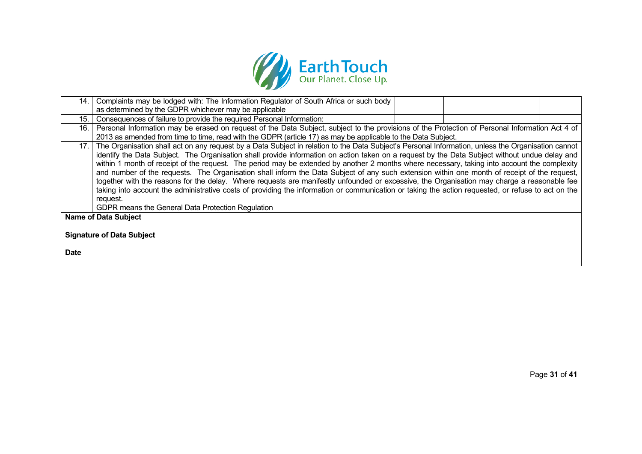

| 14.                         |                                                                                                                                                    | Complaints may be lodged with: The Information Regulator of South Africa or such body                                                                  |  |  |  |  |
|-----------------------------|----------------------------------------------------------------------------------------------------------------------------------------------------|--------------------------------------------------------------------------------------------------------------------------------------------------------|--|--|--|--|
|                             |                                                                                                                                                    | as determined by the GDPR whichever may be applicable                                                                                                  |  |  |  |  |
| 15.                         | Consequences of failure to provide the required Personal Information:                                                                              |                                                                                                                                                        |  |  |  |  |
| 16. I                       | Personal Information may be erased on request of the Data Subject, subject to the provisions of the Protection of Personal Information Act 4 of    |                                                                                                                                                        |  |  |  |  |
|                             |                                                                                                                                                    | 2013 as amended from time to time, read with the GDPR (article 17) as may be applicable to the Data Subject.                                           |  |  |  |  |
|                             |                                                                                                                                                    | 17. The Organisation shall act on any request by a Data Subject in relation to the Data Subject's Personal Information, unless the Organisation cannot |  |  |  |  |
|                             |                                                                                                                                                    | identify the Data Subject. The Organisation shall provide information on action taken on a request by the Data Subject without undue delay and         |  |  |  |  |
|                             |                                                                                                                                                    | within 1 month of receipt of the request. The period may be extended by another 2 months where necessary, taking into account the complexity           |  |  |  |  |
|                             |                                                                                                                                                    | and number of the requests. The Organisation shall inform the Data Subject of any such extension within one month of receipt of the request,           |  |  |  |  |
|                             |                                                                                                                                                    | together with the reasons for the delay. Where requests are manifestly unfounded or excessive, the Organisation may charge a reasonable fee            |  |  |  |  |
|                             | taking into account the administrative costs of providing the information or communication or taking the action requested, or refuse to act on the |                                                                                                                                                        |  |  |  |  |
|                             | request.                                                                                                                                           |                                                                                                                                                        |  |  |  |  |
|                             | GDPR means the General Data Protection Regulation                                                                                                  |                                                                                                                                                        |  |  |  |  |
| <b>Name of Data Subject</b> |                                                                                                                                                    |                                                                                                                                                        |  |  |  |  |
|                             |                                                                                                                                                    |                                                                                                                                                        |  |  |  |  |
|                             | <b>Signature of Data Subject</b>                                                                                                                   |                                                                                                                                                        |  |  |  |  |
|                             |                                                                                                                                                    |                                                                                                                                                        |  |  |  |  |
| <b>Date</b>                 |                                                                                                                                                    |                                                                                                                                                        |  |  |  |  |
|                             |                                                                                                                                                    |                                                                                                                                                        |  |  |  |  |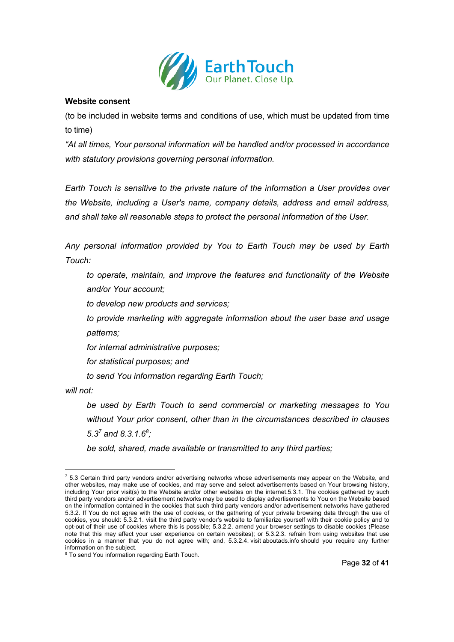

#### **Website consent**

(to be included in website terms and conditions of use, which must be updated from time to time)

*"At all times, Your personal information will be handled and/or processed in accordance with statutory provisions governing personal information.*

*Earth Touch is sensitive to the private nature of the information a User provides over the Website, including a User's name, company details, address and email address, and shall take all reasonable steps to protect the personal information of the User.*

*Any personal information provided by You to Earth Touch may be used by Earth Touch:*

*to operate, maintain, and improve the features and functionality of the Website and/or Your account;*

*to develop new products and services;*

*to provide marketing with aggregate information about the user base and usage patterns;*

*for internal administrative purposes;*

*for statistical purposes; and*

*to send You information regarding Earth Touch;*

*will not:*

*be used by Earth Touch to send commercial or marketing messages to You without Your prior consent, other than in the circumstances described in clauses 5.3<sup>7</sup> and 8.3.1.68 ;*

*be sold, shared, made available or transmitted to any third parties;*

 $7$  5.3 Certain third party vendors and/or advertising networks whose advertisements may appear on the Website, and other websites, may make use of cookies, and may serve and select advertisements based on Your browsing history, including Your prior visit(s) to the Website and/or other websites on the internet.5.3.1. The cookies gathered by such third party vendors and/or advertisement networks may be used to display advertisements to You on the Website based on the information contained in the cookies that such third party vendors and/or advertisement networks have gathered 5.3.2. If You do not agree with the use of cookies, or the gathering of your private browsing data through the use of cookies, you should: 5.3.2.1. visit the third party vendor's website to familiarize yourself with their cookie policy and to opt-out of their use of cookies where this is possible; 5.3.2.2. amend your browser settings to disable cookies (Please note that this may affect your user experience on certain websites); or 5.3.2.3. refrain from using websites that use cookies in a manner that you do not agree with; and, 5.3.2.4. visit aboutads.info should you require any further information on the subject.

<sup>&</sup>lt;sup>8</sup> To send You information regarding Earth Touch.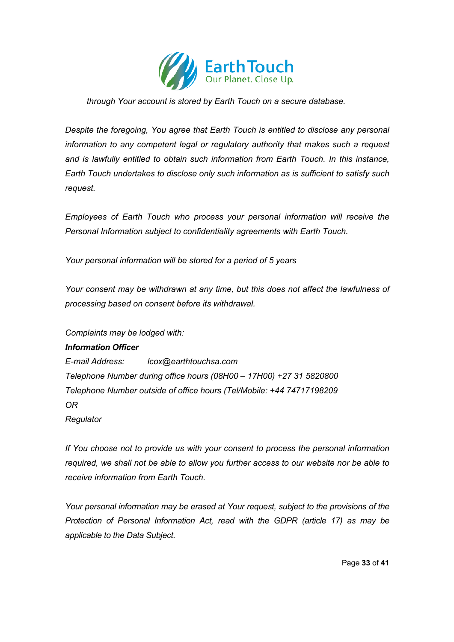

*through Your account is stored by Earth Touch on a secure database.*

*Despite the foregoing, You agree that Earth Touch is entitled to disclose any personal information to any competent legal or regulatory authority that makes such a request and is lawfully entitled to obtain such information from Earth Touch. In this instance, Earth Touch undertakes to disclose only such information as is sufficient to satisfy such request.*

*Employees of Earth Touch who process your personal information will receive the Personal Information subject to confidentiality agreements with Earth Touch.* 

*Your personal information will be stored for a period of 5 years*

*Your consent may be withdrawn at any time, but this does not affect the lawfulness of processing based on consent before its withdrawal.*

*Complaints may be lodged with:*

#### *Information Officer*

*E-mail Address: lcox@earthtouchsa.com Telephone Number during office hours (08H00 – 17H00) +27 31 5820800 Telephone Number outside of office hours (Tel/Mobile: +44 74717198209 OR Regulator*

*If You choose not to provide us with your consent to process the personal information required, we shall not be able to allow you further access to our website nor be able to receive information from Earth Touch.* 

*Your personal information may be erased at Your request, subject to the provisions of the Protection of Personal Information Act, read with the GDPR (article 17) as may be applicable to the Data Subject.*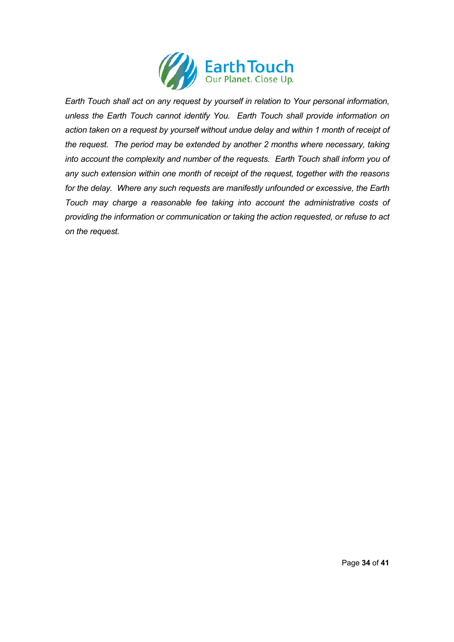

*Earth Touch shall act on any request by yourself in relation to Your personal information, unless the Earth Touch cannot identify You. Earth Touch shall provide information on action taken on a request by yourself without undue delay and within 1 month of receipt of the request. The period may be extended by another 2 months where necessary, taking into account the complexity and number of the requests. Earth Touch shall inform you of any such extension within one month of receipt of the request, together with the reasons for the delay. Where any such requests are manifestly unfounded or excessive, the Earth Touch may charge a reasonable fee taking into account the administrative costs of providing the information or communication or taking the action requested, or refuse to act on the request.*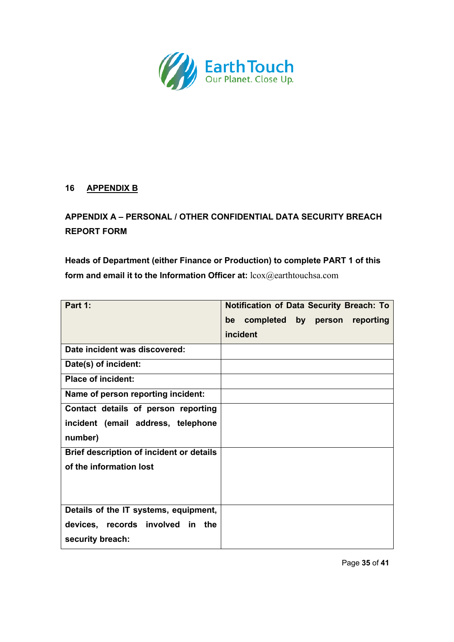

# **16 APPENDIX B**

# **APPENDIX A – PERSONAL / OTHER CONFIDENTIAL DATA SECURITY BREACH REPORT FORM**

**Heads of Department (either Finance or Production) to complete PART 1 of this form and email it to the Information Officer at:** lcox@earthtouchsa.com

| Part 1:                                         | <b>Notification of Data Security Breach: To</b><br>completed by person reporting<br>be |
|-------------------------------------------------|----------------------------------------------------------------------------------------|
|                                                 | incident                                                                               |
| Date incident was discovered:                   |                                                                                        |
| Date(s) of incident:                            |                                                                                        |
| <b>Place of incident:</b>                       |                                                                                        |
| Name of person reporting incident:              |                                                                                        |
| Contact details of person reporting             |                                                                                        |
| incident (email address, telephone              |                                                                                        |
| number)                                         |                                                                                        |
| <b>Brief description of incident or details</b> |                                                                                        |
| of the information lost                         |                                                                                        |
|                                                 |                                                                                        |
|                                                 |                                                                                        |
| Details of the IT systems, equipment,           |                                                                                        |
| devices, records involved in the                |                                                                                        |
| security breach:                                |                                                                                        |

Page **35** of **41**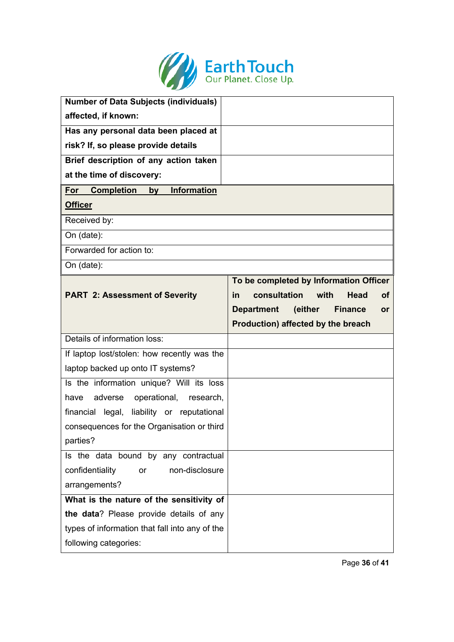

| <b>Number of Data Subjects (individuals)</b>   |                                                      |
|------------------------------------------------|------------------------------------------------------|
| affected, if known:                            |                                                      |
| Has any personal data been placed at           |                                                      |
| risk? If, so please provide details            |                                                      |
| Brief description of any action taken          |                                                      |
| at the time of discovery:                      |                                                      |
| by Information<br><b>Completion</b><br>For     |                                                      |
| <b>Officer</b>                                 |                                                      |
| Received by:                                   |                                                      |
| On (date):                                     |                                                      |
| Forwarded for action to:                       |                                                      |
| On (date):                                     |                                                      |
|                                                | To be completed by Information Officer               |
| <b>PART 2: Assessment of Severity</b>          | consultation<br>with<br>Head<br>in<br>οf             |
|                                                | <b>Department</b><br>(either<br><b>Finance</b><br>or |
|                                                | Production) affected by the breach                   |
| Details of information loss:                   |                                                      |
|                                                |                                                      |
| If laptop lost/stolen: how recently was the    |                                                      |
| laptop backed up onto IT systems?              |                                                      |
| Is the information unique? Will its loss       |                                                      |
| operational,<br>adverse<br>have<br>research,   |                                                      |
| financial legal, liability or reputational     |                                                      |
| consequences for the Organisation or third     |                                                      |
| parties?                                       |                                                      |
| Is the data bound by any contractual           |                                                      |
| non-disclosure<br>confidentiality<br><b>or</b> |                                                      |
| arrangements?                                  |                                                      |
| What is the nature of the sensitivity of       |                                                      |
| the data? Please provide details of any        |                                                      |
| types of information that fall into any of the |                                                      |

Page **36** of **41**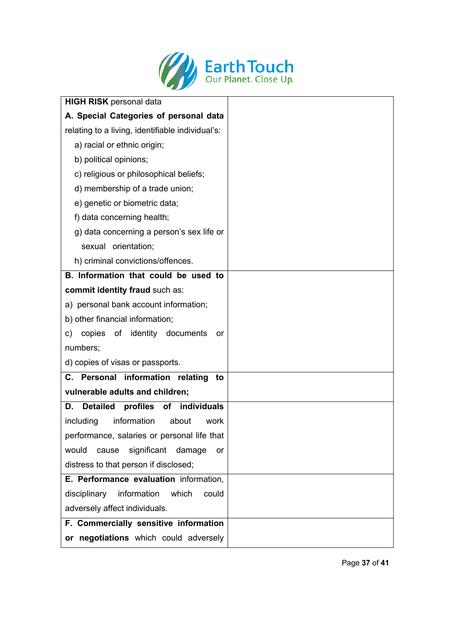

| <b>HIGH RISK</b> personal data                   |  |
|--------------------------------------------------|--|
| A. Special Categories of personal data           |  |
| relating to a living, identifiable individual's: |  |
| a) racial or ethnic origin;                      |  |
| b) political opinions;                           |  |
| c) religious or philosophical beliefs;           |  |
| d) membership of a trade union;                  |  |
| e) genetic or biometric data;                    |  |
| f) data concerning health;                       |  |
| g) data concerning a person's sex life or        |  |
| sexual orientation;                              |  |
| h) criminal convictions/offences.                |  |
| B. Information that could be used to             |  |
| commit identity fraud such as:                   |  |
| a) personal bank account information;            |  |
| b) other financial information;                  |  |
| copies of identity documents<br>C)<br>or         |  |
| numbers;                                         |  |
| d) copies of visas or passports.                 |  |
| C. Personal information relating<br>to           |  |
| vulnerable adults and children;                  |  |
| Detailed profiles of individuals<br>D.           |  |
| including<br>information<br>about<br>work        |  |
| performance, salaries or personal life that      |  |
| cause significant damage<br>would<br>or          |  |
| distress to that person if disclosed;            |  |
| E. Performance evaluation information,           |  |
| information<br>which<br>disciplinary<br>could    |  |
| adversely affect individuals.                    |  |
| F. Commercially sensitive information            |  |
| or negotiations which could adversely            |  |

Page **37** of **41**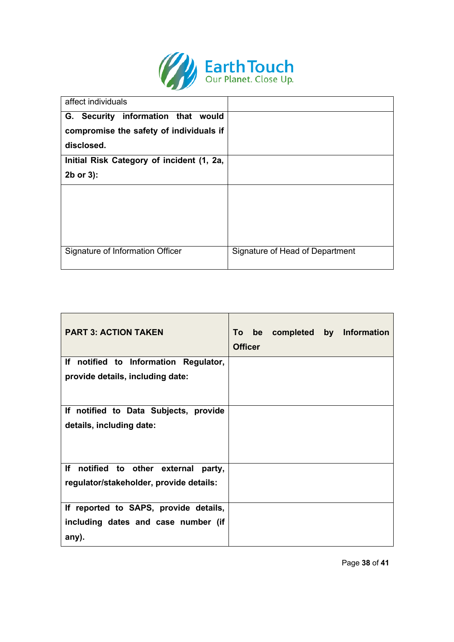

| affect individuals                        |                                 |
|-------------------------------------------|---------------------------------|
| G. Security information that would        |                                 |
| compromise the safety of individuals if   |                                 |
| disclosed.                                |                                 |
| Initial Risk Category of incident (1, 2a, |                                 |
| $2b$ or $3$ :                             |                                 |
|                                           |                                 |
|                                           |                                 |
|                                           |                                 |
|                                           |                                 |
| Signature of Information Officer          | Signature of Head of Department |

| <b>PART 3: ACTION TAKEN</b>                  | <b>Officer</b> |  | To be completed by Information |
|----------------------------------------------|----------------|--|--------------------------------|
| If notified to Information Regulator,        |                |  |                                |
| provide details, including date:             |                |  |                                |
| If notified to Data Subjects, provide        |                |  |                                |
| details, including date:                     |                |  |                                |
| If notified to other external<br>party,      |                |  |                                |
| regulator/stakeholder, provide details:      |                |  |                                |
| If reported to SAPS, provide details,        |                |  |                                |
| including dates and case number (if<br>any). |                |  |                                |

Page **38** of **41**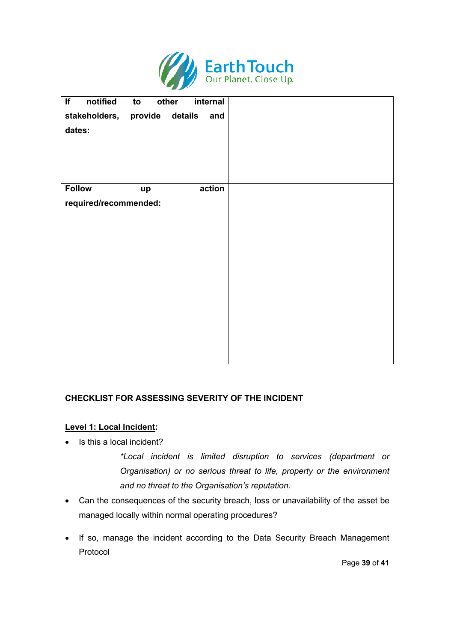

| If<br>notified                | to<br>other | internal |  |
|-------------------------------|-------------|----------|--|
| stakeholders, provide details |             | and      |  |
| dates:                        |             |          |  |
|                               |             |          |  |
|                               |             |          |  |
|                               |             |          |  |
|                               |             |          |  |
| <b>Follow</b>                 | up          | action   |  |
| required/recommended:         |             |          |  |
|                               |             |          |  |
|                               |             |          |  |
|                               |             |          |  |
|                               |             |          |  |
|                               |             |          |  |
|                               |             |          |  |
|                               |             |          |  |
|                               |             |          |  |
|                               |             |          |  |
|                               |             |          |  |
|                               |             |          |  |
|                               |             |          |  |

# **CHECKLIST FOR ASSESSING SEVERITY OF THE INCIDENT**

#### **Level 1: Local Incident:**

• Is this a local incident?

*\*Local incident is limited disruption to services (department or Organisation) or no serious threat to life, property or the environment and no threat to the Organisation's reputation.* 

- Can the consequences of the security breach, loss or unavailability of the asset be managed locally within normal operating procedures?
- If so, manage the incident according to the Data Security Breach Management Protocol

Page **39** of **41**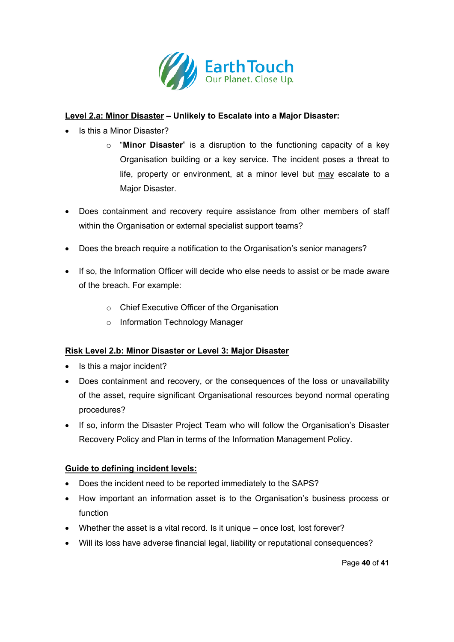

# **Level 2.a: Minor Disaster – Unlikely to Escalate into a Major Disaster:**

- Is this a Minor Disaster?
	- o "**Minor Disaster**" is a disruption to the functioning capacity of a key Organisation building or a key service. The incident poses a threat to life, property or environment, at a minor level but may escalate to a Major Disaster.
- Does containment and recovery require assistance from other members of staff within the Organisation or external specialist support teams?
- Does the breach require a notification to the Organisation's senior managers?
- If so, the Information Officer will decide who else needs to assist or be made aware of the breach. For example:
	- o Chief Executive Officer of the Organisation
	- o Information Technology Manager

# **Risk Level 2.b: Minor Disaster or Level 3: Major Disaster**

- Is this a major incident?
- Does containment and recovery, or the consequences of the loss or unavailability of the asset, require significant Organisational resources beyond normal operating procedures?
- If so, inform the Disaster Project Team who will follow the Organisation's Disaster Recovery Policy and Plan in terms of the Information Management Policy.

# **Guide to defining incident levels:**

- Does the incident need to be reported immediately to the SAPS?
- How important an information asset is to the Organisation's business process or function
- Whether the asset is a vital record. Is it unique once lost, lost forever?
- Will its loss have adverse financial legal, liability or reputational consequences?

Page **40** of **41**